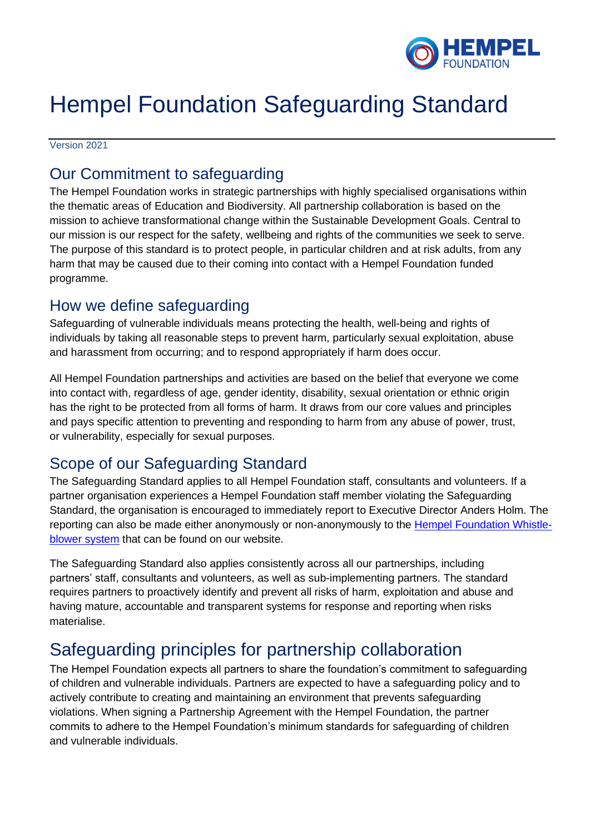

# Hempel Foundation Safeguarding Standard

Version 2021

### Our Commitment to safeguarding

The Hempel Foundation works in strategic partnerships with highly specialised organisations within the thematic areas of Education and Biodiversity. All partnership collaboration is based on the mission to achieve transformational change within the Sustainable Development Goals. Central to our mission is our respect for the safety, wellbeing and rights of the communities we seek to serve. The purpose of this standard is to protect people, in particular children and at risk adults, from any harm that may be caused due to their coming into contact with a Hempel Foundation funded programme.

#### How we define safeguarding

Safeguarding of vulnerable individuals means protecting the health, well-being and rights of individuals by taking all reasonable steps to prevent harm, particularly sexual exploitation, abuse and harassment from occurring; and to respond appropriately if harm does occur.

All Hempel Foundation partnerships and activities are based on the belief that everyone we come into contact with, regardless of age, gender identity, disability, sexual orientation or ethnic origin has the right to be protected from all forms of harm. It draws from our core values and principles and pays specific attention to preventing and responding to harm from any abuse of power, trust, or vulnerability, especially for sexual purposes.

## Scope of our Safeguarding Standard

The Safeguarding Standard applies to all Hempel Foundation staff, consultants and volunteers. If a partner organisation experiences a Hempel Foundation staff member violating the Safeguarding Standard, the organisation is encouraged to immediately report to Executive Director Anders Holm. The reporting can also be made either anonymously or non-anonymously to the **Hempel Foundation Whistle**[blower system](https://secure.ethicspoint.eu/domain/media/en/gui/103665/index.html) that can be found on our website.

The Safeguarding Standard also applies consistently across all our partnerships, including partners' staff, consultants and volunteers, as well as sub-implementing partners. The standard requires partners to proactively identify and prevent all risks of harm, exploitation and abuse and having mature, accountable and transparent systems for response and reporting when risks materialise.

## Safeguarding principles for partnership collaboration

The Hempel Foundation expects all partners to share the foundation's commitment to safeguarding of children and vulnerable individuals. Partners are expected to have a safeguarding policy and to actively contribute to creating and maintaining an environment that prevents safeguarding violations. When signing a Partnership Agreement with the Hempel Foundation, the partner commits to adhere to the Hempel Foundation's minimum standards for safeguarding of children and vulnerable individuals.